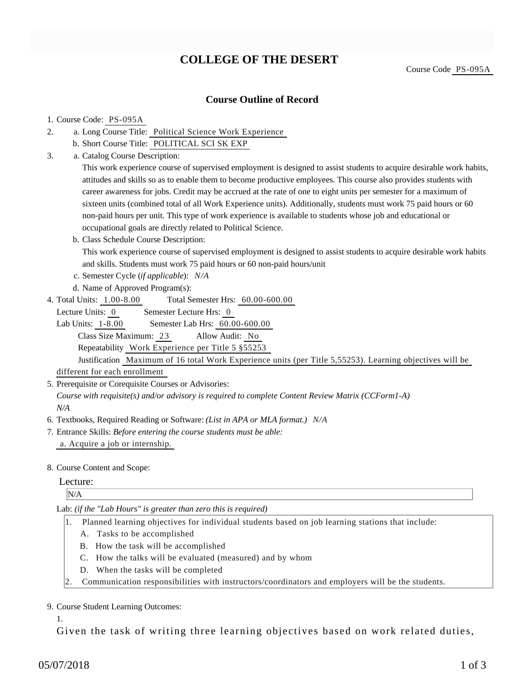# **COLLEGE OF THE DESERT**

Course Code PS-095A

### **Course Outline of Record**

#### 1. Course Code: PS-095A

- a. Long Course Title: Political Science Work Experience 2.
	- b. Short Course Title: POLITICAL SCI SK EXP
- Catalog Course Description: a. 3.

This work experience course of supervised employment is designed to assist students to acquire desirable work habits, attitudes and skills so as to enable them to become productive employees. This course also provides students with career awareness for jobs. Credit may be accrued at the rate of one to eight units per semester for a maximum of sixteen units (combined total of all Work Experience units). Additionally, students must work 75 paid hours or 60 non-paid hours per unit. This type of work experience is available to students whose job and educational or occupational goals are directly related to Political Science.

b. Class Schedule Course Description:

This work experience course of supervised employment is designed to assist students to acquire desirable work habits and skills. Students must work 75 paid hours or 60 non-paid hours/unit

- c. Semester Cycle (*if applicable*): *N/A*
- d. Name of Approved Program(s):
- Total Semester Hrs: 60.00-600.00 4. Total Units: 1.00-8.00

Lecture Units: 0 Semester Lecture Hrs: 0

Lab Units: 1-8.00 Semester Lab Hrs: 60.00-600.00 Class Size Maximum: 23 Allow Audit: No Repeatability Work Experience per Title 5 §55253

Justification Maximum of 16 total Work Experience units (per Title 5,55253). Learning objectives will be

different for each enrollment

5. Prerequisite or Corequisite Courses or Advisories:

*Course with requisite(s) and/or advisory is required to complete Content Review Matrix (CCForm1-A) N/A*

- 6. Textbooks, Required Reading or Software: *(List in APA or MLA format.) N/A*
- Entrance Skills: *Before entering the course students must be able:* 7. a. Acquire a job or internship.
- 8. Course Content and Scope:

#### Lecture:

N/A

Lab: *(if the "Lab Hours" is greater than zero this is required)*

- 1. Planned learning objectives for individual students based on job learning stations that include:
	- A. Tasks to be accomplished
	- B. How the task will be accomplished
	- C. How the talks will be evaluated (measured) and by whom
	- D. When the tasks will be completed
- 2. Communication responsibilities with instructors/coordinators and employers will be the students.

#### 9. Course Student Learning Outcomes:

1.

Given the task of writing three learning objectives based on work related duties,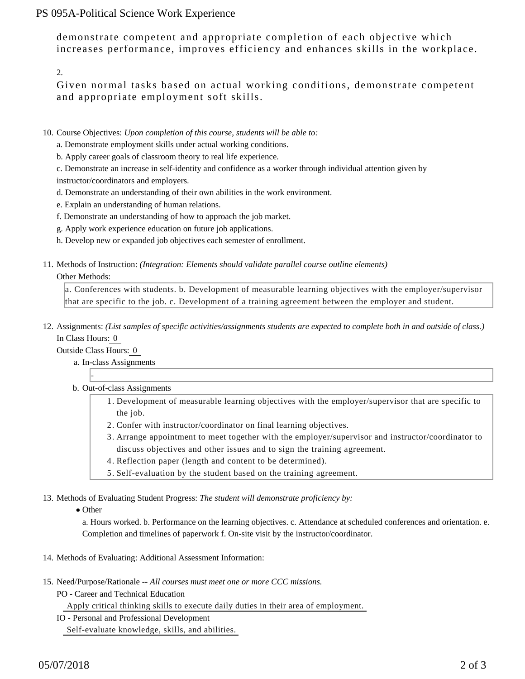## PS 095A-Political Science Work Experience

demonstrate competent and appropriate completion of each objective which increases performance, improves efficiency and enhances skills in the workplace.

2.

Given normal tasks based on actual working conditions, demonstrate competent and appropriate employment soft skills.

- 10. Course Objectives: Upon completion of this course, students will be able to:
	- a. Demonstrate employment skills under actual working conditions.
	- b. Apply career goals of classroom theory to real life experience.

c. Demonstrate an increase in self-identity and confidence as a worker through individual attention given by instructor/coordinators and employers.

- d. Demonstrate an understanding of their own abilities in the work environment.
- e. Explain an understanding of human relations.
- f. Demonstrate an understanding of how to approach the job market.
- g. Apply work experience education on future job applications.
- h. Develop new or expanded job objectives each semester of enrollment.
- 11. Methods of Instruction: *(Integration: Elements should validate parallel course outline elements)*

#### Other Methods:

a. Conferences with students. b. Development of measurable learning objectives with the employer/supervisor that are specific to the job. c. Development of a training agreement between the employer and student.

12. Assignments: (List samples of specific activities/assignments students are expected to complete both in and outside of class.) In Class Hours: 0

Outside Class Hours: 0

-

- a. In-class Assignments
- b. Out-of-class Assignments
	- 1. Development of measurable learning objectives with the employer/supervisor that are specific to the job.
	- 2. Confer with instructor/coordinator on final learning objectives.
	- Arrange appointment to meet together with the employer/supervisor and instructor/coordinator to 3. discuss objectives and other issues and to sign the training agreement.
	- 4. Reflection paper (length and content to be determined).
	- 5. Self-evaluation by the student based on the training agreement.

13. Methods of Evaluating Student Progress: The student will demonstrate proficiency by:

• Other

a. Hours worked. b. Performance on the learning objectives. c. Attendance at scheduled conferences and orientation. e. Completion and timelines of paperwork f. On-site visit by the instructor/coordinator.

- 14. Methods of Evaluating: Additional Assessment Information:
- 15. Need/Purpose/Rationale -- All courses must meet one or more CCC missions.
	- PO Career and Technical Education

Apply critical thinking skills to execute daily duties in their area of employment.

IO - Personal and Professional Development

Self-evaluate knowledge, skills, and abilities.